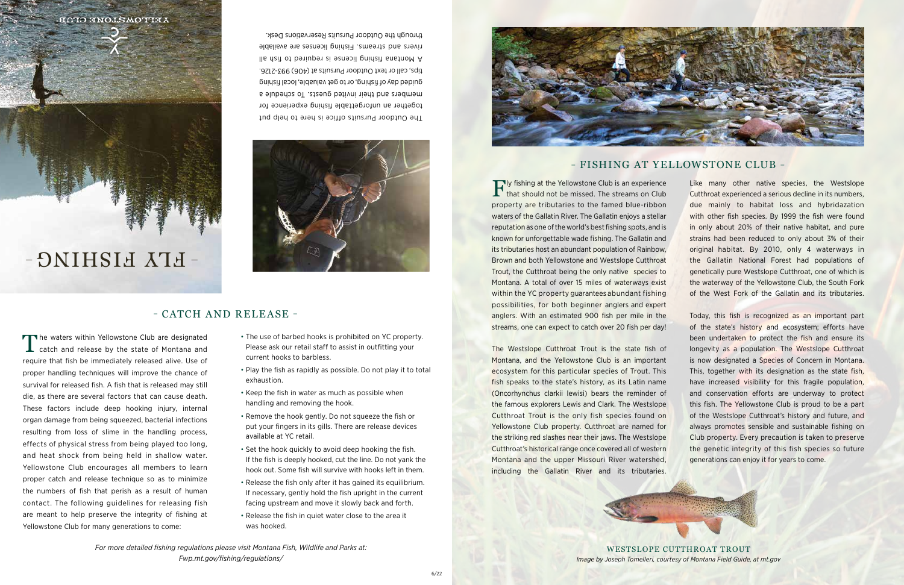The Outdoor Pursuits office is here to help put together an unforgettable fishing experience for members and their invited guests. To schedule a guided day of fishing, or to get valuable, local fishing tips, call or text Outdoor Pursuits at (406) 993-2126. A Montana fishing license is required to fish all rivers and streams. Fishing licenses are available

through the Outdoor Pursuits Reservations Desk.



## – CATCH AND RELEASE –

*For more detailed fishing regulations please visit Montana Fish, Wildlife and Parks at: Fwp.mt.gov/fishing/regulations/* 

The waters within Yellowstone Club are designated<br>
catch and release by the state of Montana and require that fish be immediately released alive. Use of proper handling techniques will improve the chance of survival for released fish. A fish that is released may still die, as there are several factors that can cause death. These factors include deep hooking injury, internal organ damage from being squeezed, bacterial infections resulting from loss of slime in the handling process, effects of physical stress from being played too long, and heat shock from being held in shallow water. Yellowstone Club encourages all members to learn proper catch and release technique so as to minimize the numbers of fish that perish as a result of human contact. The following guidelines for releasing fish are meant to help preserve the integrity of fishing at Yellowstone Club for many generations to come:

## – FISHING AT YELLOWSTONE CLUB –

Fly fishing at the Yellowstone Club is an experience that should not be missed. The streams on Club property are tributaries to the famed blue-ribbon waters of the Gallatin River. The Gallatin enjoys a stellar reputation as one of the world's best fishing spots, and is known for unforgettable wade fishing. The Gallatin and its tributaries host an abundant population of Rainbow, Brown and both Yellowstone and Westslope Cutthroat Trout, the Cutthroat being the only native species to Montana. A total of over 15 miles of waterways exist within the YC property guarantees abundant fishing possibilities, for both beginner anglers and expert anglers. With an estimated 900 fish per mile in the streams, one can expect to catch over 20 fish per day! Like many other native species, the Westslope Cutthroat experienced a serious decline in its numbers, due mainly to habitat loss and hybridazation with other fish species. By 1999 the fish were found in only about 20% of their native habitat, and pure strains had been reduced to only about 3% of their original habitat. By 2010, only 4 waterways in the Gallatin National Forest had populations of genetically pure Westslope Cutthroat, one of which is the waterway of the Yellowstone Club, the South Fork of the West Fork of the Gallatin and its tributaries. of the state's history and ecosystem; efforts have

The Westslope Cutthroat Trout is the state fish of Montana, and the Yellowstone Club is an important ecosystem for this particular species of Trout. This fish speaks to the state's history, as its Latin name (Oncorhynchus clarkii lewisi) bears the reminder of the famous explorers Lewis and Clark. The Westslope Cutthroat Trout is the only fish species found on Yellowstone Club property. Cutthroat are named for the striking red slashes near their jaws. The Westslope Cutthroat's historical range once covered all of western Montana and the upper Missouri River watershed, including the Gallatin River and its tributaries. Today, this fish is recognized as an important part been undertaken to protect the fish and ensure its longevity as a population. The Westslope Cutthroat is now designated a Species of Concern in Montana. This, together with its designation as the state fish, have increased visibility for this fragile population, and conservation efforts are underway to protect this fish. The Yellowstone Club is proud to be a part of the Westslope Cutthroat's history and future, and always promotes sensible and sustainable fishing on Club property. Every precaution is taken to preserve the genetic integrity of this fish species so future generations can enjoy it for years to come.



WESTSLOPE CUTTHROAT TROUT *Image by Joseph Tomelleri, courtesy of Montana Field Guide, at mt.gov*

**AETTOMZLONE CTAB.** 



- The use of barbed hooks is prohibited on YC property. Please ask our retail staff to assist in outfitting your current hooks to barbless.
- Play the fish as rapidly as possible. Do not play it to total exhaustion.
- Keep the fish in water as much as possible when handling and removing the hook.
- Remove the hook gently. Do not squeeze the fish or put your fingers in its gills. There are release devices available at YC retail.
- Set the hook quickly to avoid deep hooking the fish. If the fish is deeply hooked, cut the line. Do not yank the hook out. Some fish will survive with hooks left in them.
- Release the fish only after it has gained its equilibrium. If necessary, gently hold the fish upright in the current facing upstream and move it slowly back and forth.
- Release the fish in quiet water close to the area it was hooked.